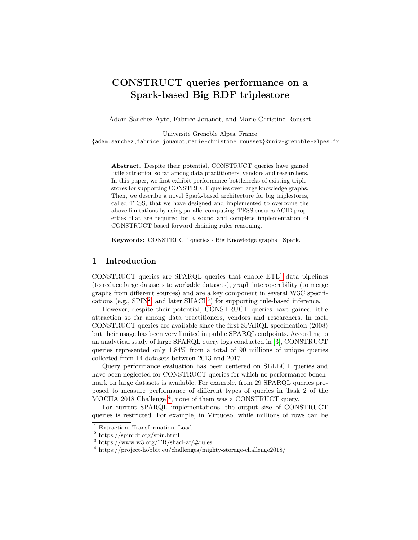# CONSTRUCT queries performance on a Spark-based Big RDF triplestore

Adam Sanchez-Ayte, Fabrice Jouanot, and Marie-Christine Rousset

Université Grenoble Alpes, France

{adam.sanchez,fabrice.jouanot,marie-christine.rousset}@univ-grenoble-alpes.fr

Abstract. Despite their potential, CONSTRUCT queries have gained little attraction so far among data practitioners, vendors and researchers. In this paper, we first exhibit performance bottlenecks of existing triplestores for supporting CONSTRUCT queries over large knowledge graphs. Then, we describe a novel Spark-based architecture for big triplestores, called TESS, that we have designed and implemented to overcome the above limitations by using parallel computing. TESS ensures ACID properties that are required for a sound and complete implementation of CONSTRUCT-based forward-chaining rules reasoning.

Keywords: CONSTRUCT queries · Big Knowledge graphs · Spark.

### 1 Introduction

CONSTRUCT queries are SPARQL queries that enable  $ETL<sup>1</sup>$  $ETL<sup>1</sup>$  $ETL<sup>1</sup>$  data pipelines (to reduce large datasets to workable datasets), graph interoperability (to merge graphs from different sources) and are a key component in several W3C specifications (e.g.,  $SPIN<sup>2</sup>$  $SPIN<sup>2</sup>$  $SPIN<sup>2</sup>$ , and later  $SHACL<sup>3</sup>$  $SHACL<sup>3</sup>$  $SHACL<sup>3</sup>$ ) for supporting rule-based inference.

However, despite their potential, CONSTRUCT queries have gained little attraction so far among data practitioners, vendors and researchers. In fact, CONSTRUCT queries are available since the first SPARQL specification (2008) but their usage has been very limited in public SPARQL endpoints. According to an analytical study of large SPARQL query logs conducted in [\[3\]](#page-15-0), CONSTRUCT queries represented only 1.84% from a total of 90 millions of unique queries collected from 14 datasets between 2013 and 2017.

Query performance evaluation has been centered on SELECT queries and have been neglected for CONSTRUCT queries for which no performance benchmark on large datasets is available. For example, from 29 SPARQL queries proposed to measure performance of different types of queries in Task 2 of the MOCHA 2018 Challenge [4](#page-0-3) , none of them was a CONSTRUCT query.

For current SPARQL implementations, the output size of CONSTRUCT queries is restricted. For example, in Virtuoso, while millions of rows can be

<span id="page-0-0"></span><sup>&</sup>lt;sup>1</sup> Extraction, Transformation, Load

<span id="page-0-1"></span><sup>2</sup> https://spinrdf.org/spin.html

<span id="page-0-2"></span><sup>3</sup> https://www.w3.org/TR/shacl-af/#rules

<span id="page-0-3"></span><sup>4</sup> https://project-hobbit.eu/challenges/mighty-storage-challenge2018/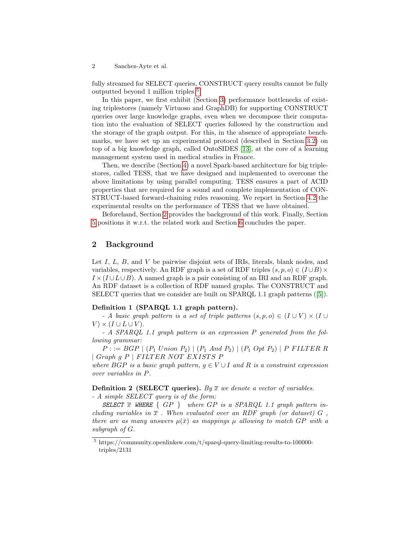fully streamed for SELECT queries, CONSTRUCT query results cannot be fully outputted beyond 1 million triples <sup>[5](#page-1-0)</sup>.

In this paper, we first exhibit (Section [3\)](#page-3-0) performance bottlenecks of existing triplestores (namely Virtuoso and GraphDB) for supporting CONSTRUCT queries over large knowledge graphs, even when we decompose their computation into the evaluation of SELECT queries followed by the construction and the storage of the graph output. For this, in the absence of appropriate benchmarks, we have set up an experimental protocol (described in Section [3.2\)](#page-3-1) on top of a big knowledge graph, called OntoSIDES [\[13\]](#page-15-1), at the core of a learning management system used in medical studies in France.

Then, we describe (Section [4\)](#page-8-0) a novel Spark-based architecture for big triplestores, called TESS, that we have designed and implemented to overcome the above limitations by using parallel computing. TESS ensures a part of ACID properties that are required for a sound and complete implementation of CON-STRUCT-based forward-chaining rules reasoning. We report in Section [4.2](#page-9-0) the experimental results on the performance of TESS that we have obtained.

Beforehand, Section [2](#page-1-1) provides the background of this work. Finally, Section [5](#page-13-0) positions it w.r.t. the related work and Section [6](#page-14-0) concludes the paper.

### <span id="page-1-1"></span>2 Background

Let  $I, L, B$ , and  $V$  be pairwise disjoint sets of IRIs, literals, blank nodes, and variables, respectively. An RDF graph is a set of RDF triples  $(s, p, o) \in (I \cup B) \times$  $I \times (I \cup L \cup B)$ . A named graph is a pair consisting of an IRI and an RDF graph. An RDF dataset is a collection of RDF named graphs. The CONSTRUCT and SELECT queries that we consider are built on SPARQL 1.1 graph patterns ([\[5\]](#page-15-2)).

### Definition 1 (SPARQL 1.1 graph pattern).

- A basic graph pattern is a set of triple patterns  $(s, p, o) \in (I \cup V) \times (I \cup I)$  $V$   $\times$  ( $I \cup L \cup V$ ).

- A SPARQL 1.1 graph pattern is an expression P generated from the following grammar:

 $P := BGP | (P_1 Union P_2) | (P_1 And P_2) | (P_1 Opt P_2) | P FILTER R$  $| Graph g P | FILTER NOT EXISTS P$ 

where BGP is a basic graph pattern,  $q \in V \cup I$  and R is a constraint expression over variables in P.

<span id="page-1-2"></span>**Definition 2 (SELECT queries).** By  $\overline{x}$  we denote a vector of variables.

- A simple SELECT query is of the form:

SELECT  $\overline{x}$  WHERE  $\{GP\}$  where  $GP$  is a SPARQL 1.1 graph pattern including variables in  $\bar{x}$ . When evaluated over an RDF graph (or dataset) G, there are as many answers  $\mu(\bar{x})$  as mappings  $\mu$  allowing to match GP with a subgraph of G.

<span id="page-1-0"></span> $^5$ https://community.openlinksw.com/t/sparql-query-limiting-results-to-100000triples/2131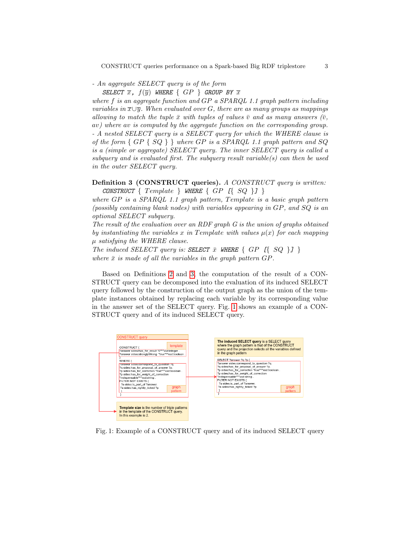- An aggregate SELECT query is of the form

SELECT  $\overline{x}$ ,  $f(\overline{y})$  WHERE  $\{GP\}$  GROUP BY  $\overline{x}$ 

where f is an aggregate function and  $GP$  a  $SPARQL$  1.1 graph pattern including variables in  $\overline{x\cup y}$ . When evaluated over G, there are as many groups as mappings allowing to match the tuple  $\bar{x}$  with tuples of values  $\bar{v}$  and as many answers  $(\bar{v},\bar{v})$ av) where av is computed by the aggregate function on the corresponding group. - A nested SELECT query is a SELECT query for which the WHERE clause is of the form  $\{GP \{SQ\}\}\$  where  $GP$  is a SPARQL 1.1 graph pattern and SQ is a (simple or aggregate) SELECT query. The inner SELECT query is called a subquery and is evaluated first. The subquery result variable(s) can then be used in the outer SELECT query.

### <span id="page-2-0"></span>Definition 3 (CONSTRUCT queries). A CONSTRUCT query is written: CONSTRUCT  $\{ Template \}$  WHERE  $\{ GP \ [SQ \}]$

where  $GP$  is a  $SPARQL$  1.1 graph pattern, Template is a basic graph pattern (possibly containing blank nodes) with variables appearing in GP, and SQ is an optional SELECT subquery.

The result of the evaluation over an RDF graph G is the union of graphs obtained by instantiating the variables x in Template with values  $\mu(x)$  for each mapping µ satisfying the WHERE clause.

The induced SELECT query is: SELECT  $\bar{x}$  WHERE  $\{GP \leq \{SQ\}\}\$ where  $\bar{x}$  is made of all the variables in the graph pattern GP.

Based on Definitions [2](#page-1-2) and [3,](#page-2-0) the computation of the result of a CON-STRUCT query can be decomposed into the evaluation of its induced SELECT query followed by the construction of the output graph as the union of the template instances obtained by replacing each variable by its corresponding value in the answer set of the SELECT query. Fig. [1](#page-2-1) shows an example of a CON-STRUCT query and of its induced SELECT query.

<span id="page-2-1"></span>

Fig. 1: Example of a CONSTRUCT query and of its induced SELECT query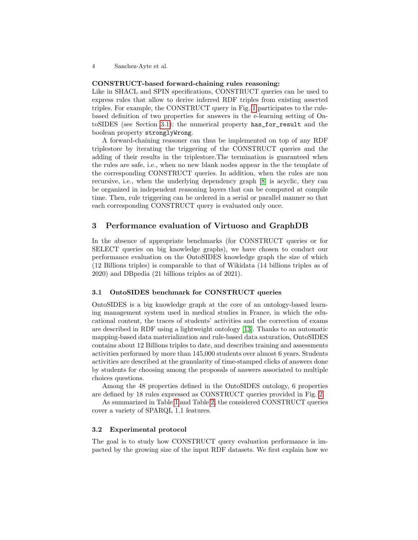### CONSTRUCT-based forward-chaining rules reasoning:

Like in SHACL and SPIN specifications, CONSTRUCT queries can be used to express rules that allow to derive inferred RDF triples from existing asserted triples. For example, the CONSTRUCT query in Fig. [1](#page-2-1) participates to the rulebased definition of two properties for answers in the e-learning setting of OntoSIDES (see Section [3.1\)](#page-3-2): the numerical property has\_for\_result and the boolean property stronglyWrong.

A forward-chaining reasoner can thus be implemented on top of any RDF triplestore by iterating the triggering of the CONSTRUCT queries and the adding of their results in the triplestore.The termination is guaranteed when the rules are safe, i.e., when no new blank nodes appear in the the template of the corresponding CONSTRUCT queries. In addition, when the rules are non recursive, i.e., when the underlying dependency graph [\[8\]](#page-15-3) is acyclic, they can be organized in independent reasoning layers that can be computed at compile time. Then, rule triggering can be ordered in a serial or parallel manner so that each corresponding CONSTRUCT query is evaluated only once.

### <span id="page-3-0"></span>3 Performance evaluation of Virtuoso and GraphDB

In the absence of appropriate benchmarks (for CONSTRUCT queries or for SELECT queries on big knowledge graphs), we have chosen to conduct our performance evaluation on the OntoSIDES knowledge graph the size of which (12 Billions triples) is comparable to that of Wikidata (14 billions triples as of 2020) and DBpedia (21 billions triples as of 2021).

### <span id="page-3-2"></span>3.1 OntoSIDES benchmark for CONSTRUCT queries

OntoSIDES is a big knowledge graph at the core of an ontology-based learning management system used in medical studies in France, in which the educational content, the traces of students' activities and the correction of exams are described in RDF using a lightweight ontology [\[13\]](#page-15-1). Thanks to an automatic mapping-based data materialization and rule-based data saturation, OntoSIDES contains about 12 Billions triples to date, and describes training and assessments activities performed by more than 145,000 students over almost 6 years. Students activities are described at the granularity of time-stamped clicks of answers done by students for choosing among the proposals of answers associated to multiple choices questions.

Among the 48 properties defined in the OntoSIDES ontology, 6 properties are defined by 18 rules expressed as CONSTRUCT queries provided in Fig. [2.](#page-4-0)

As summarized in Table [1](#page-5-0) and Table [2,](#page-5-0) the considered CONSTRUCT queries cover a variety of SPARQL 1.1 features.

### <span id="page-3-1"></span>3.2 Experimental protocol

The goal is to study how CONSTRUCT query evaluation performance is impacted by the growing size of the input RDF datasets. We first explain how we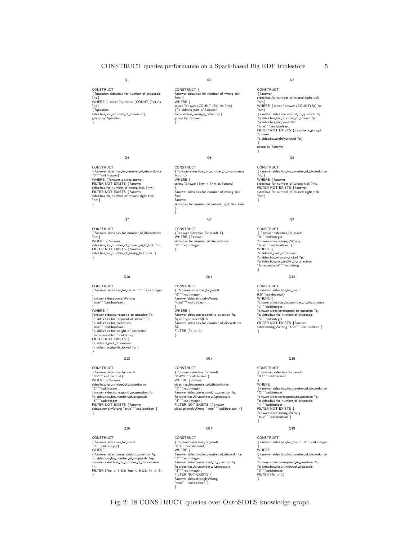### CONSTRUCT queries performance on a Spark-based Big RDF triplestore 5

 $Q<sub>2</sub>$ 

 $O5$ 

{?answer sides:has for number of discordance

sides:has\_for\_number\_of\_missed\_right\_tick ?nm

Q8

Q11

} WHERE { ?answer sides:correspond to question ?q. ?q rdf:type sides:QUA. ?answer sides:has\_for\_number\_of\_discordance

Q14

{?answer sides:has for result 1} WHERE { ?answer<br>sides:has\_for\_number\_of\_discordance<br>"0" ^^xsd:integer

select ?answer (?nw + ?nm as ?count) {<br>?answer sides:has\_for\_number\_of\_wrong\_tick

**CONSTRUCT** 

?count} WHERE {

?nw. ?answer

CONSTRUCT

CONSTRUCT

CONSTRUCT

CONSTRUCT

{?answer sides:has for result "0.425"ˆˆxsd:decimal} WHERE {?answer sides:has\_for\_number\_of\_discordance "1"^^xsd:integer .<br>?answer sides:correspond\_to\_question ?q. ?a sides:has for number of proposals "4"ˆˆxsd:integer . FILTER NOT EXISTS {?answer sides:stronglyWrong "true"^^xsd:boolean } }

{ ?answer sides:has for result "0"ˆˆxsd:integer . ?answer sides:stronglyWrong "true"ˆˆxsd:boolean .

} }

}

?d. FILTER  $(?d > 0)$ }

<span id="page-4-0"></span>CONSTRUCT { ?question sides:has\_for\_number\_of\_proposals ?np} WHERE { select ?question (COUNT (?p) As ?np) {?question sides:has for proposal of answer?p} group by ?question }

 $Q<sub>1</sub>$ 

CONSTRUCT { ?answer sides:has\_for\_number\_of\_wrong\_tick ?nw } WHERE {<br>select ?ansv ver (COUNT (?a) As ?nw) {?a sides:is part of ?answer. ?a sides:has wrongly ticked ?p} group by ?answer }

### Q3

CONSTRUCT  $\{$  ?ans  $s$ ides:has\_for\_number\_of\_missed\_right\_tick ?nm} WHERE {select ?answer (COUNT(?p) As ?nm) {?answer sides:correspond to question ?q. ?q sides:has for proposal of answer ?p. ?p sides:has for correction "true"ˆˆxsd:boolean. FILTER NOT EXISTS {?a sides:is part of ?answer. ?a sides:has rightly ticked ?p} } group by ?answer }

**CONSTRUCT** {?answer sides:has for number of discordance ?nw} WHERE { ?answ sides:has\_for\_number\_of\_wrong\_tick ?nw.<br>FILTER NOT EXISTS {?answer sides:has for number of missed right tick ?nm} }

Q6

#### Q9

CONSTRUCT { ?answer sides:has\_for\_result<br>"0" ^^xsd:integer .<br>?answer sides:stronglyWrong<br>"true" ^^xsd:boolean . } WHERE {<br>?a sides:is.part.of ?answer.<br>?a sides:has..for.weight.of.correction<br>?p sides:has..for.weight.of.correction<br>"Unacceptable"^^xsd:string }

### Q12

CONSTRUCT {?answer sides:has for result 0.5ˆˆxsd:decimal} WHERE {<br>?answer sides:has\_for\_number\_of\_discordance<br>"1"^^xsd:integer . ?answer sides:correspond to question ?q. ?q sides:has\_for\_number\_of\_proposals "5"ˆˆxsd:integer. FILTER NOT EXISTS {?answer sides:stronglyWrong "true"ˆˆxsd:boolean } }

#### Q15

CONSTRUCT  ${\circ}$ c .<br>r sides:has\_for\_result "0.1"ˆˆxsd:decimal } WHERE {?answer sides:has for number of discordance "2"ˆˆxsd:integer . ?answer sides:correspond\_to\_question ?q. ?q sides:has\_for\_number\_of\_proposals<br>"4"^^xsd:integer .<br>FILTER NOT EXISTS { ?answer sides:stronglyWrong "true"ˆˆxsd:boolean } }

### Q18

CONSTRUCT {?answer sides:has for result "0"ˆˆxsd:integer } WHERE { ?answer sides:has for number of discordance rea<br>?n.<br>?ans ?answer sides:correspond\_to\_question ?q.<br>?q sides:has\_for\_number\_of\_proposals "3"ˆˆxsd:integer. FILTER (?n > 1) }

## $Q<sub>4</sub>$

CONSTRUCT {?answer sides:has\_for\_number\_of\_discordance<br>"0" ^^xsd:integer}<br>WHERE {?answer a sides:answer. FILTER NOT EXISTS {?answer sides:has\_for\_number\_of\_wrong\_tick ?nw}<br>FILTER NOT EXISTS {?answer<br>sides:has\_for\_number\_of\_missed\_right\_tick<br>?nm} }

#### Q7

CONSTRUCT {?answer sides:has for number of discordance  $\frac{1}{m}$ WHERE {?answer sides:has\_for\_number\_of\_missed\_right\_tick ?nm.<br>FILTER NOT EXISTS {?answer<br>sides:has\_for\_number\_of\_wrong\_tick ?nw. } }

#### Q10

CONSTRUCT {?answer sides:has for result "0"ˆˆxsd:integer ?answer sides:stronglyWrong "true"ˆˆxsd:boolean . } WHERE { ?answer sides:correspond\_to\_question ?q.<br>?q sides:has\_for\_proposal\_of\_answer ?p. ?p sides:has..for..correction<br>"true"^^xsd:boolean "true"^^xsd:boolean .<br>?p sides:has..for..weight..of..correction<br>"Indispensable"^^xsd:string .<br>FILTER NOT EXISTS { ?a sides:is\_part\_of ?answer.<br>?a sides:has\_rightly\_ticked ?p } }

### Q13

**CONSTRUCT** {?answer sides:has for result "0.2"ˆˆxsd:decimal} WHERE {?answer sides:has\_for\_number\_of\_discordance "2"^^xsd:integer .<br>?answer sides:correspond\_to\_question ?q. ?a sides:has for number of proposals "5"ˆˆxsd:integer . FILTER NOT EXISTS {?answer sides:stronglyWrong "true"^^xsd:boolean } }

#### Q16

**CONSTRUCT** {?answer sides:has for result "0"ˆˆxsd:integer} WHERE {?answer sides:correspond to question ?q. ?q sides:has for number of proposals ?np. ?answer sides:has for number of discordance ?n. FILTER (?np > 3 && ?np < 6 && ?n > 2). }

{?answer sides:has..for..result<br>"0.3" ^^xsd:decimal }<br>WHERE {<br>?answer sides:has..for..number..of..discordance<br>"1"^^xsd:integer .<br>?answer sides:.correspond..to..question ?q. ?q sides:has\_for\_number\_of\_proposals "3"^^xsd:integer .<br>FILTER NOT EXISTS {<br>?answer sides:stronglyWrong<br>"true"^^xsd:boolean }<br>}

Q17

### Fig. 2: 18 CONSTRUCT queries over OntoSIDES knowledge graph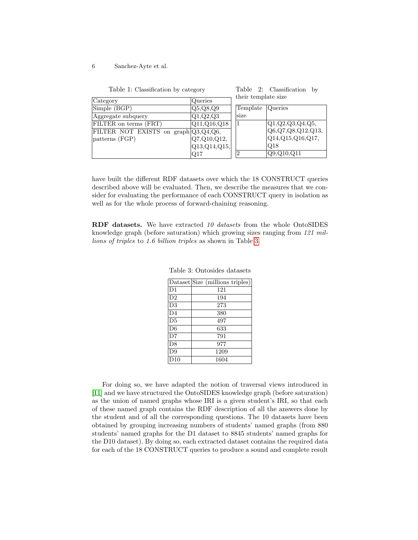<span id="page-5-0"></span>

|  | Table 1: Classification by category |  |  |
|--|-------------------------------------|--|--|
|--|-------------------------------------|--|--|

Table 2: Classification by their template size

| $\sqrt{\text{Category}}$                           | Queries       | unch complace sine |                           |
|----------------------------------------------------|---------------|--------------------|---------------------------|
| Simple (BGP)                                       | Q5,Q8,Q9      | Template           | <i>Cueries</i>            |
| Aggregate subquery                                 | Q1, Q2, Q3    | lsize              |                           |
| FILTER on terms (FRT)                              | [Q11,Q16,Q18] |                    | Q1,Q2,Q3,Q4,Q5,           |
| FILTER NOT EXISTS on graph $\left[Q3,Q4,Q6\right]$ |               |                    | [Q6, Q7, Q8, Q12, Q13,    |
| patterns (FGP)                                     | Q7, Q10, Q12, |                    | $ Q14,Q15,Q16,Q17\rangle$ |
|                                                    | Q13,Q14,Q15   |                    | Q18                       |
|                                                    | Q17           | 2                  | Q9, Q10, Q11              |

have built the different RDF datasets over which the 18 CONSTRUCT queries described above will be evaluated. Then, we describe the measures that we consider for evaluating the performance of each CONSTRUCT query in isolation as well as for the whole process of forward-chaining reasoning.

<span id="page-5-1"></span>RDF datasets. We have extracted 10 datasets from the whole OntoSIDES knowledge graph (before saturation) which growing sizes ranging from 121 millions of triples to 1.6 billion triples as shown in Table [3.](#page-5-1)

|                | Dataset Size (millions triples) |
|----------------|---------------------------------|
| D <sub>1</sub> | 121                             |
| D <sub>2</sub> | 194                             |
| D3             | 273                             |
| D <sub>4</sub> | 380                             |
| D5             | 497                             |
| D <sub>6</sub> | 633                             |
| D7             | 791                             |
| D <sub>8</sub> | 977                             |
| D9             | 1209                            |
| D10            | 1604                            |

Table 3: Ontosides datasets

For doing so, we have adapted the notion of traversal views introduced in [\[11\]](#page-15-4) and we have structured the OntoSIDES knowledge graph (before saturation) as the union of named graphs whose IRI is a given student's IRI, so that each of these named graph contains the RDF description of all the answers done by the student and of all the corresponding questions. The 10 datasets have been obtained by grouping increasing numbers of students' named graphs (from 880 students' named graphs for the D1 dataset to 8845 students' named graphs for the D10 dataset). By doing so, each extracted dataset contains the required data for each of the 18 CONSTRUCT queries to produce a sound and complete result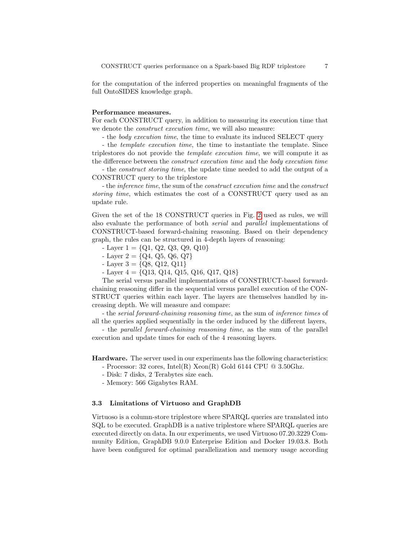for the computation of the inferred properties on meaningful fragments of the full OntoSIDES knowledge graph.

### Performance measures.

For each CONSTRUCT query, in addition to measuring its execution time that we denote the *construct execution time*, we will also measure:

- the body execution time, the time to evaluate its induced SELECT query

- the template execution time, the time to instantiate the template. Since triplestores do not provide the template execution time, we will compute it as the difference between the construct execution time and the body execution time

- the construct storing time, the update time needed to add the output of a CONSTRUCT query to the triplestore

- the inference time, the sum of the construct execution time and the construct storing time, which estimates the cost of a CONSTRUCT query used as an update rule.

Given the set of the 18 CONSTRUCT queries in Fig. [2](#page-4-0) used as rules, we will also evaluate the performance of both serial and parallel implementations of CONSTRUCT-based forward-chaining reasoning. Based on their dependency graph, the rules can be structured in 4-depth layers of reasoning:

- $-Layer 1 = \{Q1, Q2, Q3, Q9, Q10\}$
- Layer  $2 = \{Q_4, Q_5, Q_6, Q_7\}$
- $-Layer 3 = \{Q8, Q12, Q11\}$
- $-Layer 4 = \{Q13, Q14, Q15, Q16, Q17, Q18\}$

The serial versus parallel implementations of CONSTRUCT-based forwardchaining reasoning differ in the sequential versus parallel execution of the CON-STRUCT queries within each layer. The layers are themselves handled by increasing depth. We will measure and compare:

- the serial forward-chaining reasoning time, as the sum of inference times of all the queries applied sequentially in the order induced by the different layers,

- the parallel forward-chaining reasoning time, as the sum of the parallel execution and update times for each of the 4 reasoning layers.

Hardware. The server used in our experiments has the following characteristics: - Processor: 32 cores, Intel(R) Xeon(R) Gold 6144 CPU  $@$  3.50Ghz.

- Disk: 7 disks, 2 Terabytes size each.
- Memory: 566 Gigabytes RAM.

### 3.3 Limitations of Virtuoso and GraphDB

Virtuoso is a column-store triplestore where SPARQL queries are translated into SQL to be executed. GraphDB is a native triplestore where SPARQL queries are executed directly on data. In our experiments, we used Virtuoso 07.20.3229 Community Edition, GraphDB 9.0.0 Enterprise Edition and Docker 19.03.8. Both have been configured for optimal parallelization and memory usage according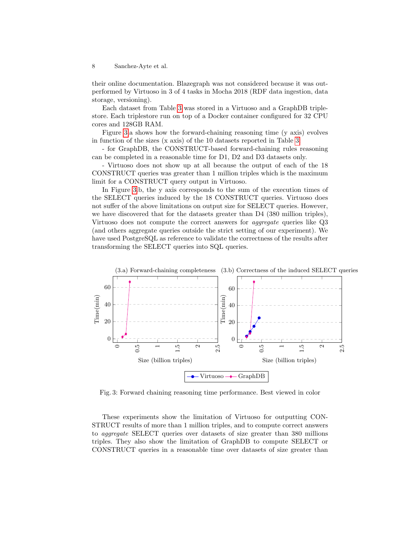their online documentation. Blazegraph was not considered because it was outperformed by Virtuoso in 3 of 4 tasks in Mocha 2018 (RDF data ingestion, data storage, versioning).

Each dataset from Table [3](#page-5-1) was stored in a Virtuoso and a GraphDB triplestore. Each triplestore run on top of a Docker container configured for 32 CPU cores and 128GB RAM.

Figure [3.](#page-7-0)a shows how the forward-chaining reasoning time (y axis) evolves in function of the sizes (x axis) of the 10 datasets reported in Table [3:](#page-5-1)

- for GraphDB, the CONSTRUCT-based forward-chaining rules reasoning can be completed in a reasonable time for D1, D2 and D3 datasets only.

- Virtuoso does not show up at all because the output of each of the 18 CONSTRUCT queries was greater than 1 million triples which is the maximum limit for a CONSTRUCT query output in Virtuoso.

In Figure [3.](#page-7-0)b, the y axis corresponds to the sum of the execution times of the SELECT queries induced by the 18 CONSTRUCT queries. Virtuoso does not suffer of the above limitations on output size for SELECT queries. However, we have discovered that for the datasets greater than D4 (380 million triples), Virtuoso does not compute the correct answers for aggregate queries like Q3 (and others aggregate queries outside the strict setting of our experiment). We have used PostgreSQL as reference to validate the correctness of the results after transforming the SELECT queries into SQL queries.

<span id="page-7-0"></span>

Fig. 3: Forward chaining reasoning time performance. Best viewed in color

These experiments show the limitation of Virtuoso for outputting CON-STRUCT results of more than 1 million triples, and to compute correct answers to aggregate SELECT queries over datasets of size greater than 380 millions triples. They also show the limitation of GraphDB to compute SELECT or CONSTRUCT queries in a reasonable time over datasets of size greater than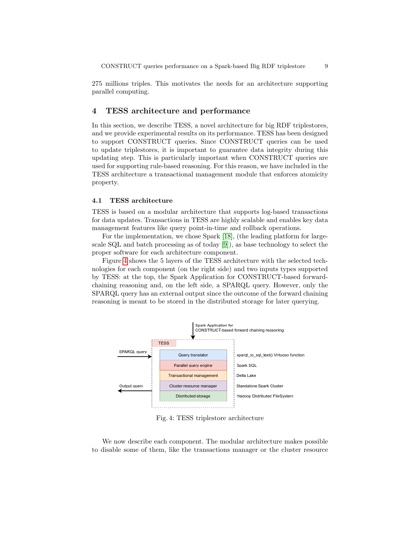275 millions triples. This motivates the needs for an architecture supporting parallel computing.

### <span id="page-8-0"></span>4 TESS architecture and performance

In this section, we describe TESS, a novel architecture for big RDF triplestores, and we provide experimental results on its performance. TESS has been designed to support CONSTRUCT queries. Since CONSTRUCT queries can be used to update triplestores, it is important to guarantee data integrity during this updating step. This is particularly important when CONSTRUCT queries are used for supporting rule-based reasoning. For this reason, we have included in the TESS architecture a transactional management module that enforces atomicity property.

### 4.1 TESS architecture

TESS is based on a modular architecture that supports log-based transactions for data updates. Transactions in TESS are highly scalable and enables key data management features like query point-in-time and rollback operations.

For the implementation, we chose Spark [\[18\]](#page-16-0), (the leading platform for largescale SQL and batch processing as of today [\[9\]](#page-15-5)), as base technology to select the proper software for each architecture component.

Figure [4](#page-8-1) shows the 5 layers of the TESS architecture with the selected technologies for each component (on the right side) and two inputs types supported by TESS: at the top, the Spark Application for CONSTRUCT-based forwardchaining reasoning and, on the left side, a SPARQL query. However, only the SPARQL query has an external output since the outcome of the forward chaining reasoning is meant to be stored in the distributed storage for later querying.

<span id="page-8-1"></span>

Fig. 4: TESS triplestore architecture

We now describe each component. The modular architecture makes possible to disable some of them, like the transactions manager or the cluster resource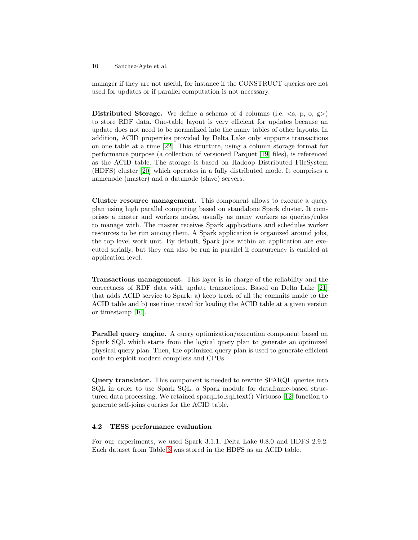manager if they are not useful, for instance if the CONSTRUCT queries are not used for updates or if parallel computation is not necessary.

Distributed Storage. We define a schema of 4 columns (i.e.  $\langle s, p, o, g \rangle$ ) to store RDF data. One-table layout is very efficient for updates because an update does not need to be normalized into the many tables of other layouts. In addition, ACID properties provided by Delta Lake only supports transactions on one table at a time [\[22\]](#page-16-1). This structure, using a column storage format for performance purpose (a collection of versioned Parquet [\[19\]](#page-16-2) files), is referenced as the ACID table. The storage is based on Hadoop Distributed FileSystem (HDFS) cluster [\[20\]](#page-16-3) which operates in a fully distributed mode. It comprises a namenode (master) and a datanode (slave) servers.

Cluster resource management. This component allows to execute a query plan using high parallel computing based on standalone Spark cluster. It comprises a master and workers nodes, usually as many workers as queries/rules to manage with. The master receives Spark applications and schedules worker resources to be run among them. A Spark application is organized around jobs, the top level work unit. By default, Spark jobs within an application are executed serially, but they can also be run in parallel if concurrency is enabled at application level.

Transactions management. This layer is in charge of the reliability and the correctness of RDF data with update transactions. Based on Delta Lake [\[21\]](#page-16-4) that adds ACID service to Spark: a) keep track of all the commits made to the ACID table and b) use time travel for loading the ACID table at a given version or timestamp [\[10\]](#page-15-6).

Parallel query engine. A query optimization/execution component based on Spark SQL which starts from the logical query plan to generate an optimized physical query plan. Then, the optimized query plan is used to generate efficient code to exploit modern compilers and CPUs.

Query translator. This component is needed to rewrite SPARQL queries into SQL in order to use Spark SQL, a Spark module for dataframe-based struc-tured data processing. We retained sparql to sql text() Virtuoso [\[12\]](#page-15-7) function to generate self-joins queries for the ACID table.

### <span id="page-9-0"></span>4.2 TESS performance evaluation

For our experiments, we used Spark 3.1.1, Delta Lake 0.8.0 and HDFS 2.9.2. Each dataset from Table [3](#page-5-1) was stored in the HDFS as an ACID table.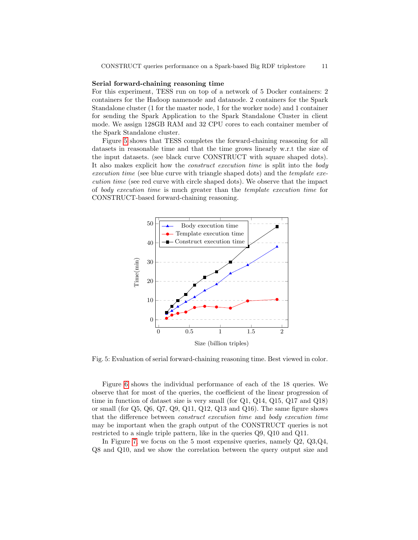### Serial forward-chaining reasoning time

For this experiment, TESS run on top of a network of 5 Docker containers: 2 containers for the Hadoop namenode and datanode. 2 containers for the Spark Standalone cluster (1 for the master node, 1 for the worker node) and 1 container for sending the Spark Application to the Spark Standalone Cluster in client mode. We assign 128GB RAM and 32 CPU cores to each container member of the Spark Standalone cluster.

Figure [5](#page-10-0) shows that TESS completes the forward-chaining reasoning for all datasets in reasonable time and that the time grows linearly w.r.t the size of the input datasets. (see black curve CONSTRUCT with square shaped dots). It also makes explicit how the construct execution time is split into the body execution time (see blue curve with triangle shaped dots) and the template execution time (see red curve with circle shaped dots). We observe that the impact of body execution time is much greater than the template execution time for CONSTRUCT-based forward-chaining reasoning.

<span id="page-10-0"></span>

Fig. 5: Evaluation of serial forward-chaining reasoning time. Best viewed in color.

Figure [6](#page-11-0) shows the individual performance of each of the 18 queries. We observe that for most of the queries, the coefficient of the linear progression of time in function of dataset size is very small (for Q1, Q14, Q15, Q17 and Q18) or small (for Q5, Q6, Q7, Q9, Q11, Q12, Q13 and Q16). The same figure shows that the difference between construct execution time and body execution time may be important when the graph output of the CONSTRUCT queries is not restricted to a single triple pattern, like in the queries Q9, Q10 and Q11.

In Figure [7,](#page-12-0) we focus on the 5 most expensive queries, namely Q2, Q3,Q4, Q8 and Q10, and we show the correlation between the query output size and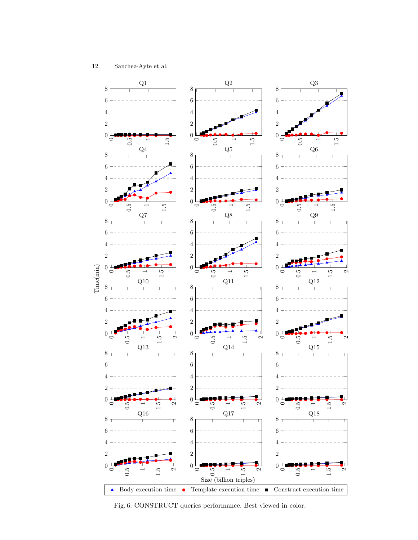<span id="page-11-0"></span>

Fig. 6: CONSTRUCT queries performance. Best viewed in color.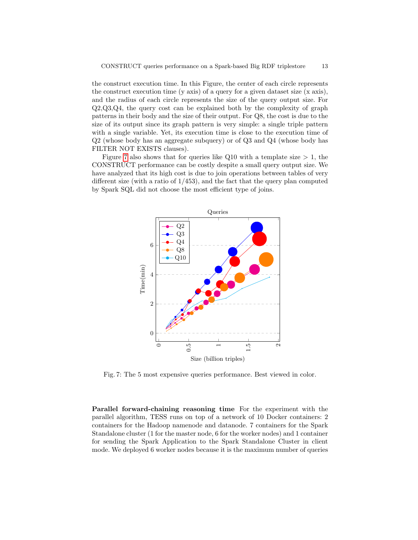the construct execution time. In this Figure, the center of each circle represents the construct execution time (y axis) of a query for a given dataset size  $(x \text{ axis})$ , and the radius of each circle represents the size of the query output size. For Q2,Q3,Q4, the query cost can be explained both by the complexity of graph patterns in their body and the size of their output. For Q8, the cost is due to the size of its output since its graph pattern is very simple: a single triple pattern with a single variable. Yet, its execution time is close to the execution time of Q2 (whose body has an aggregate subquery) or of Q3 and Q4 (whose body has FILTER NOT EXISTS clauses).

Figure [7](#page-12-0) also shows that for queries like Q10 with a template size  $> 1$ , the CONSTRUCT performance can be costly despite a small query output size. We have analyzed that its high cost is due to join operations between tables of very different size (with a ratio of  $1/453$ ), and the fact that the query plan computed by Spark SQL did not choose the most efficient type of joins.

<span id="page-12-0"></span>

Fig. 7: The 5 most expensive queries performance. Best viewed in color.

Parallel forward-chaining reasoning time For the experiment with the parallel algorithm, TESS runs on top of a network of 10 Docker containers: 2 containers for the Hadoop namenode and datanode. 7 containers for the Spark Standalone cluster (1 for the master node, 6 for the worker nodes) and 1 container for sending the Spark Application to the Spark Standalone Cluster in client mode. We deployed 6 worker nodes because it is the maximum number of queries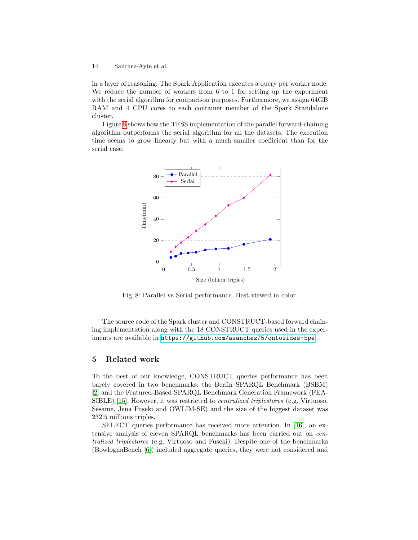in a layer of reasoning. The Spark Application executes a query per worker node. We reduce the number of workers from 6 to 1 for setting up the experiment with the serial algorithm for comparison purposes. Furthermore, we assign 64GB RAM and 4 CPU cores to each container member of the Spark Standalone cluster.

<span id="page-13-1"></span>Figure [8](#page-13-1) shows how the TESS implementation of the parallel forward-chaining algorithm outperforms the serial algorithm for all the datasets. The execution time seems to grow linearly but with a much smaller coefficient than for the serial case.



Fig. 8: Parallel vs Serial performance. Best viewed in color.

The source code of the Spark cluster and CONSTRUCT-based forward chaining implementation along with the 18 CONSTRUCT queries used in the experiments are available in <https://github.com/asanchez75/ontosides-bpe>.

### <span id="page-13-0"></span>5 Related work

To the best of our knowledge, CONSTRUCT queries performance has been barely covered in two benchmarks: the Berlin SPARQL Benchmark (BSBM) [\[2\]](#page-15-8) and the Featured-Based SPARQL Benchmark Generation Framework (FEA-SIBLE) [\[15\]](#page-15-9). However, it was restricted to centralized triplestores (e.g. Virtuoso, Sesame, Jena Fuseki and OWLIM-SE) and the size of the biggest dataset was 232.5 millions triples.

SELECT queries performance has received more attention. In [\[16\]](#page-15-10), an extensive analysis of eleven SPARQL benchmarks has been carried out on centralized triplestores (e.g. Virtuoso and Fuseki). Despite one of the benchmarks (BowlognaBench [\[6\]](#page-15-11)) included aggregate queries, they were not considered and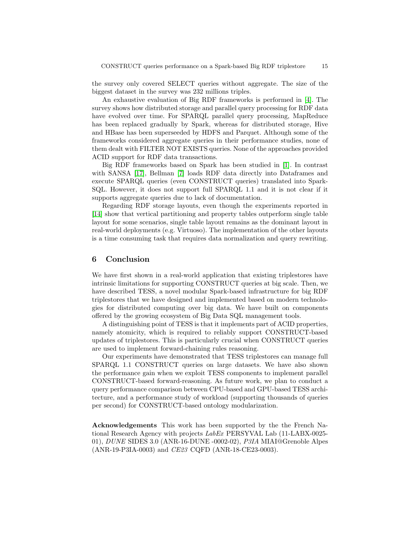the survey only covered SELECT queries without aggregate. The size of the biggest dataset in the survey was 232 millions triples.

An exhaustive evaluation of Big RDF frameworks is performed in [\[4\]](#page-15-12). The survey shows how distributed storage and parallel query processing for RDF data have evolved over time. For SPARQL parallel query processing, MapReduce has been replaced gradually by Spark, whereas for distributed storage, Hive and HBase has been superseeded by HDFS and Parquet. Although some of the frameworks considered aggregate queries in their performance studies, none of them dealt with FILTER NOT EXISTS queries. None of the approaches provided ACID support for RDF data transactions.

Big RDF frameworks based on Spark has been studied in [\[1\]](#page-15-13). In contrast with SANSA [\[17\]](#page-16-5), Bellman [\[7\]](#page-15-14) loads RDF data directly into Dataframes and execute SPARQL queries (even CONSTRUCT queries) translated into Spark-SQL. However, it does not support full SPARQL 1.1 and it is not clear if it supports aggregate queries due to lack of documentation.

Regarding RDF storage layouts, even though the experiments reported in [\[14\]](#page-15-15) show that vertical partitioning and property tables outperform single table layout for some scenarios, single table layout remains as the dominant layout in real-world deployments (e.g. Virtuoso). The implementation of the other layouts is a time consuming task that requires data normalization and query rewriting.

### <span id="page-14-0"></span>6 Conclusion

We have first shown in a real-world application that existing triplestores have intrinsic limitations for supporting CONSTRUCT queries at big scale. Then, we have described TESS, a novel modular Spark-based infrastructure for big RDF triplestores that we have designed and implemented based on modern technologies for distributed computing over big data. We have built on components offered by the growing ecosystem of Big Data SQL management tools.

A distinguishing point of TESS is that it implements part of ACID properties, namely atomicity, which is required to reliably support CONSTRUCT-based updates of triplestores. This is particularly crucial when CONSTRUCT queries are used to implement forward-chaining rules reasoning.

Our experiments have demonstrated that TESS triplestores can manage full SPARQL 1.1 CONSTRUCT queries on large datasets. We have also shown the performance gain when we exploit TESS components to implement parallel CONSTRUCT-based forward-reasoning. As future work, we plan to conduct a query performance comparison between CPU-based and GPU-based TESS architecture, and a performance study of workload (supporting thousands of queries per second) for CONSTRUCT-based ontology modularization.

Acknowledgements This work has been supported by the the French National Research Agency with projects LabEx PERSYVAL Lab (11-LABX-0025- 01), DUNE SIDES 3.0 (ANR-16-DUNE -0002-02), P3IA MIAI@Grenoble Alpes (ANR-19-P3IA-0003) and CE23 CQFD (ANR-18-CE23-0003).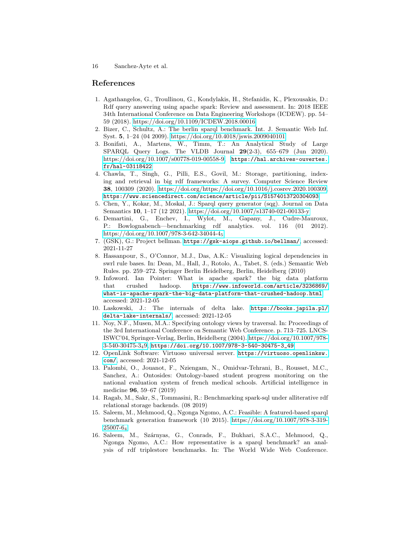### References

- <span id="page-15-13"></span>1. Agathangelos, G., Troullinou, G., Kondylakis, H., Stefanidis, K., Plexousakis, D.: Rdf query answering using apache spark: Review and assessment. In: 2018 IEEE 34th International Conference on Data Engineering Workshops (ICDEW). pp. 54– 59 (2018).<https://doi.org/10.1109/ICDEW.2018.00016>
- <span id="page-15-8"></span>2. Bizer, C., Schultz, A.: The berlin sparql benchmark. Int. J. Semantic Web Inf. Syst. 5, 1–24 (04 2009).<https://doi.org/10.4018/jswis.2009040101>
- <span id="page-15-0"></span>3. Bonifati, A., Martens, W., Timm, T.: An Analytical Study of Large SPARQL Query Logs. The VLDB Journal 29(2-3), 655–679 (Jun 2020). [https://doi.org/10.1007/s00778-019-00558-9,](https://doi.org/10.1007/s00778-019-00558-9) [https://hal.archives-ouvertes.](https://hal.archives-ouvertes.fr/hal-03118422) [fr/hal-03118422](https://hal.archives-ouvertes.fr/hal-03118422)
- <span id="page-15-12"></span>4. Chawla, T., Singh, G., Pilli, E.S., Govil, M.: Storage, partitioning, indexing and retrieval in big rdf frameworks: A survey. Computer Science Review 38, 100309 (2020). [https://doi.org/https://doi.org/10.1016/j.cosrev.2020.100309,](https://doi.org/https://doi.org/10.1016/j.cosrev.2020.100309) <https://www.sciencedirect.com/science/article/pii/S1574013720304093>
- <span id="page-15-2"></span>5. Chen, Y., Kokar, M., Moskal, J.: Sparql query generator (sqg). Journal on Data Semantics 10, 1–17 (12 2021).<https://doi.org/10.1007/s13740-021-00133-y>
- <span id="page-15-11"></span>6. Demartini, G., Enchev, I., Wylot, M., Gapany, J., Cudre-Mauroux, P.: Bowlognabench—benchmarking rdf analytics. vol. 116 (01 2012). [https://doi.org/10.1007/978-3-642-34044-4](https://doi.org/10.1007/978-3-642-34044-4_5)<sup>5</sup>
- <span id="page-15-14"></span>7. (GSK), G.: Project bellman. <https://gsk-aiops.github.io/bellman/>, accessed: 2021-11-27
- <span id="page-15-3"></span>8. Hassanpour, S., O'Connor, M.J., Das, A.K.: Visualizing logical dependencies in swrl rule bases. In: Dean, M., Hall, J., Rotolo, A., Tabet, S. (eds.) Semantic Web Rules. pp. 259–272. Springer Berlin Heidelberg, Berlin, Heidelberg (2010)
- <span id="page-15-5"></span>9. Infoword. Ian Pointer: What is apache spark? the big data platform that crushed hadoop. [https://www.infoworld.com/article/3236869/](https://www.infoworld.com/article/3236869/what-is-apache-spark-the-big-data-platform-that-crushed-hadoop.html) [what-is-apache-spark-the-big-data-platform-that-crushed-hadoop.html](https://www.infoworld.com/article/3236869/what-is-apache-spark-the-big-data-platform-that-crushed-hadoop.html), accessed: 2021-12-05
- <span id="page-15-6"></span>10. Laskowski, J.: The internals of delta lake. [https://books.japila.pl/](https://books.japila.pl/delta-lake-internals/) [delta-lake-internals/](https://books.japila.pl/delta-lake-internals/), accessed: 2021-12-05
- <span id="page-15-4"></span>11. Noy, N.F., Musen, M.A.: Specifying ontology views by traversal. In: Proceedings of the 3rd International Conference on Semantic Web Conference. p. 713–725. LNCS-ISWC'04, Springer-Verlag, Berlin, Heidelberg (2004). [https://doi.org/10.1007/978-](https://doi.org/10.1007/978-3-540-30475-3_49) [3-540-30475-3](https://doi.org/10.1007/978-3-540-30475-3_49)49, [https://doi.org/10.1007/978-3-540-30475-3\\_49](https://doi.org/10.1007/978-3-540-30475-3_49)
- <span id="page-15-7"></span>12. OpenLink Software: Virtuoso universal server. [https://virtuoso.openlinksw.](https://virtuoso.openlinksw.com/) [com/](https://virtuoso.openlinksw.com/), accessed: 2021-12-05
- <span id="page-15-1"></span>13. Palombi, O., Jouanot, F., Nziengam, N., Omidvar-Tehrani, B., Rousset, M.C., Sanchez, A.: Ontosides: Ontology-based student progress monitoring on the national evaluation system of french medical schools. Artificial intelligence in medicine 96, 59–67 (2019)
- <span id="page-15-15"></span>14. Ragab, M., Sakr, S., Tommasini, R.: Benchmarking spark-sql under alliterative rdf relational storage backends. (08 2019)
- <span id="page-15-9"></span>15. Saleem, M., Mehmood, Q., Ngonga Ngomo, A.C.: Feasible: A featured-based sparql benchmark generation framework (10 2015). [https://doi.org/10.1007/978-3-319-](https://doi.org/10.1007/978-3-319-25007-6_4) [25007-6](https://doi.org/10.1007/978-3-319-25007-6_4)<sup>4</sup>
- <span id="page-15-10"></span>16. Saleem, M., Szárnyas, G., Conrads, F., Bukhari, S.A.C., Mehmood, Q., Ngonga Ngomo, A.C.: How representative is a sparql benchmark? an analysis of rdf triplestore benchmarks. In: The World Wide Web Conference.